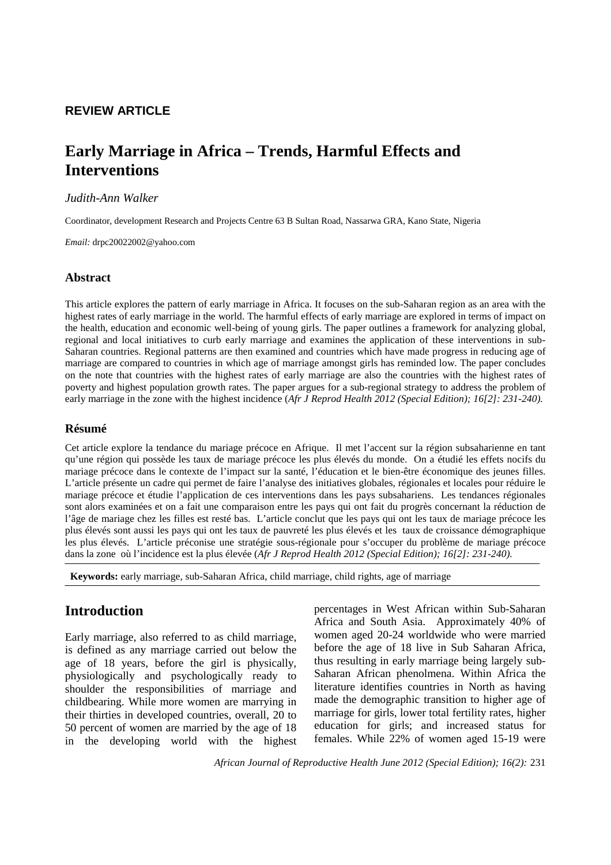## **REVIEW ARTICLE**

# **Early Marriage in Africa – Trends, Harmful Effects and Interventions**

## *Judith-Ann Walker*

Coordinator, development Research and Projects Centre 63 B Sultan Road, Nassarwa GRA, Kano State, Nigeria

*Email:* drpc20022002@yahoo.com

## **Abstract**

This article explores the pattern of early marriage in Africa. It focuses on the sub-Saharan region as an area with the highest rates of early marriage in the world. The harmful effects of early marriage are explored in terms of impact on the health, education and economic well-being of young girls. The paper outlines a framework for analyzing global, regional and local initiatives to curb early marriage and examines the application of these interventions in sub-Saharan countries. Regional patterns are then examined and countries which have made progress in reducing age of marriage are compared to countries in which age of marriage amongst girls has reminded low. The paper concludes on the note that countries with the highest rates of early marriage are also the countries with the highest rates of poverty and highest population growth rates. The paper argues for a sub-regional strategy to address the problem of early marriage in the zone with the highest incidence (*Afr J Reprod Health 2012 (Special Edition); 16[2]: 231-240).*

## **Résumé**

Cet article explore la tendance du mariage précoce en Afrique. Il met l'accent sur la région subsaharienne en tant qu'une région qui possède les taux de mariage précoce les plus élevés du monde. On a étudié les effets nocifs du mariage précoce dans le contexte de l'impact sur la santé, l'éducation et le bien-être économique des jeunes filles. L'article présente un cadre qui permet de faire l'analyse des initiatives globales, régionales et locales pour réduire le mariage précoce et étudie l'application de ces interventions dans les pays subsahariens. Les tendances régionales sont alors examinées et on a fait une comparaison entre les pays qui ont fait du progrès concernant la réduction de l'âge de mariage chez les filles est resté bas. L'article conclut que les pays qui ont les taux de mariage précoce les plus élevés sont aussi les pays qui ont les taux de pauvreté les plus élevés et les taux de croissance démographique les plus élevés. L'article préconise une stratégie sous-régionale pour s'occuper du problème de mariage précoce dans la zone où l'incidence est la plus élevée (*Afr J Reprod Health 2012 (Special Edition); 16[2]: 231-240).* 

 **Keywords:** early marriage, sub-Saharan Africa, child marriage, child rights, age of marriage

## **Introduction**

Early marriage, also referred to as child marriage, is defined as any marriage carried out below the age of 18 years, before the girl is physically, physiologically and psychologically ready to shoulder the responsibilities of marriage and childbearing. While more women are marrying in their thirties in developed countries, overall, 20 to 50 percent of women are married by the age of 18 in the developing world with the highest percentages in West African within Sub-Saharan Africa and South Asia. Approximately 40% of women aged 20-24 worldwide who were married before the age of 18 live in Sub Saharan Africa, thus resulting in early marriage being largely sub-Saharan African phenolmena. Within Africa the literature identifies countries in North as having made the demographic transition to higher age of marriage for girls, lower total fertility rates, higher education for girls; and increased status for females. While 22% of women aged 15-19 were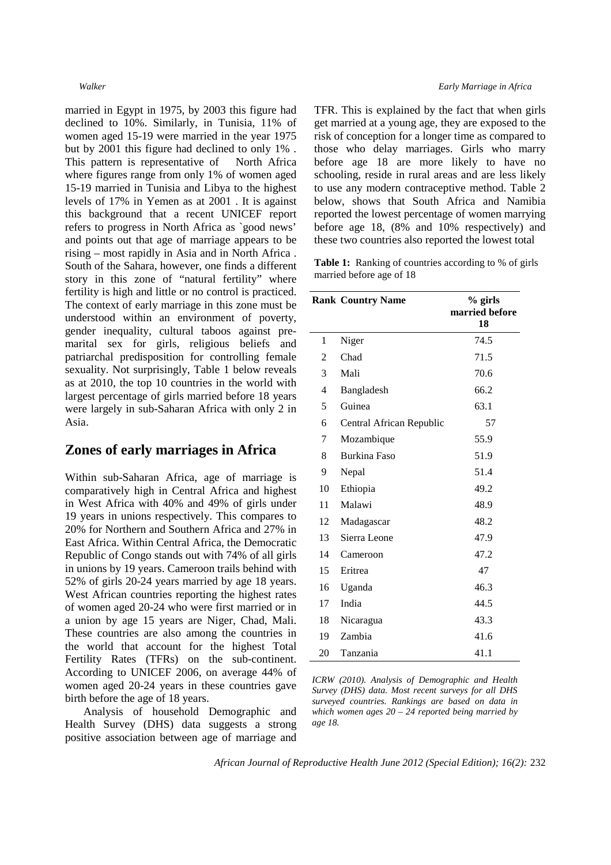married in Egypt in 1975, by 2003 this figure had declined to 10%. Similarly, in Tunisia, 11% of women aged 15-19 were married in the year 1975 but by 2001 this figure had declined to only 1% . This pattern is representative of North Africa where figures range from only 1% of women aged 15-19 married in Tunisia and Libya to the highest levels of 17% in Yemen as at 2001 . It is against this background that a recent UNICEF report refers to progress in North Africa as `good news' and points out that age of marriage appears to be rising – most rapidly in Asia and in North Africa . South of the Sahara, however, one finds a different story in this zone of "natural fertility" where fertility is high and little or no control is practiced. The context of early marriage in this zone must be understood within an environment of poverty, gender inequality, cultural taboos against premarital sex for girls, religious beliefs and patriarchal predisposition for controlling female sexuality. Not surprisingly, Table 1 below reveals as at 2010, the top 10 countries in the world with largest percentage of girls married before 18 years were largely in sub-Saharan Africa with only 2 in Asia.

## **Zones of early marriages in Africa**

Within sub-Saharan Africa, age of marriage is comparatively high in Central Africa and highest in West Africa with 40% and 49% of girls under 19 years in unions respectively. This compares to 20% for Northern and Southern Africa and 27% in East Africa. Within Central Africa, the Democratic Republic of Congo stands out with 74% of all girls in unions by 19 years. Cameroon trails behind with 52% of girls 20-24 years married by age 18 years. West African countries reporting the highest rates of women aged 20-24 who were first married or in a union by age 15 years are Niger, Chad, Mali. These countries are also among the countries in the world that account for the highest Total Fertility Rates (TFRs) on the sub-continent. According to UNICEF 2006, on average 44% of women aged 20-24 years in these countries gave birth before the age of 18 years.

Analysis of household Demographic and Health Survey (DHS) data suggests a strong positive association between age of marriage and

### *Walker Early Marriage in Africa*

TFR. This is explained by the fact that when girls get married at a young age, they are exposed to the risk of conception for a longer time as compared to those who delay marriages. Girls who marry before age 18 are more likely to have no schooling, reside in rural areas and are less likely to use any modern contraceptive method. Table 2 below, shows that South Africa and Namibia reported the lowest percentage of women marrying before age 18, (8% and 10% respectively) and these two countries also reported the lowest total

**Table 1:** Ranking of countries according to % of girls married before age of 18

|    | <b>Rank Country Name</b> | % girls<br>married before<br>18 |
|----|--------------------------|---------------------------------|
| 1  | Niger                    | 74.5                            |
| 2  | Chad                     | 71.5                            |
| 3  | Mali                     | 70.6                            |
| 4  | Bangladesh               | 66.2                            |
| 5  | Guinea                   | 63.1                            |
| 6  | Central African Republic | 57                              |
| 7  | Mozambique               | 55.9                            |
| 8  | <b>Burkina Faso</b>      | 51.9                            |
| 9  | Nepal                    | 51.4                            |
| 10 | Ethiopia                 | 49.2                            |
| 11 | Malawi                   | 48.9                            |
| 12 | Madagascar               | 48.2                            |
| 13 | Sierra Leone             | 47.9                            |
| 14 | Cameroon                 | 47.2                            |
| 15 | Eritrea                  | 47                              |
| 16 | Uganda                   | 46.3                            |
| 17 | India                    | 44.5                            |
| 18 | Nicaragua                | 43.3                            |
| 19 | Zambia                   | 41.6                            |
| 20 | Tanzania                 | 41.1                            |

*ICRW (2010). Analysis of Demographic and Health Survey (DHS) data. Most recent surveys for all DHS surveyed countries. Rankings are based on data in which women ages 20 – 24 reported being married by age 18.*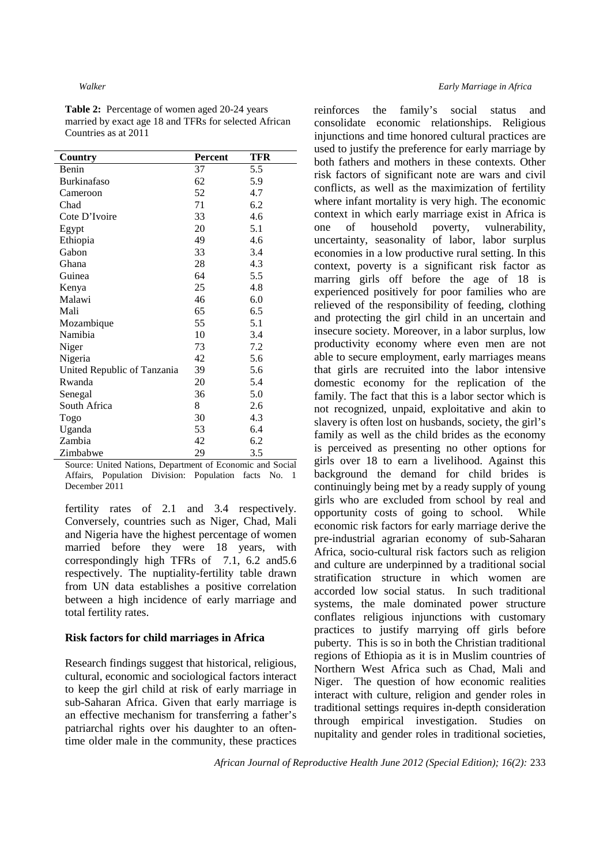**Table 2:** Percentage of women aged 20-24 years married by exact age 18 and TFRs for selected African Countries as at 2011

| Country                     | Percent   | TFR |
|-----------------------------|-----------|-----|
| Benin                       | 37        | 5.5 |
| <b>Burkinafaso</b>          | 62        | 5.9 |
| Cameroon                    | 52        | 4.7 |
| Chad                        | 71        | 6.2 |
| Cote D'Ivoire               | 33        | 4.6 |
| Egypt                       | 20        | 5.1 |
| Ethiopia                    | 49        | 4.6 |
| Gabon                       | 33        | 3.4 |
| Ghana                       | 28        | 4.3 |
| Guinea                      | 64        | 5.5 |
| Kenya                       | 25        | 4.8 |
| Malawi                      | 46        | 6.0 |
| Mali                        | 65        | 6.5 |
| Mozambique                  | 55        | 5.1 |
| Namibia                     | 10        | 3.4 |
| Niger                       | 73        | 7.2 |
| Nigeria                     | 42        | 5.6 |
| United Republic of Tanzania | 39        | 5.6 |
| Rwanda                      | 20        | 5.4 |
| Senegal                     | 36        | 5.0 |
| South Africa                | 8         | 2.6 |
| Togo                        | 30        | 4.3 |
| Uganda                      | 53        | 6.4 |
| Zambia                      | 42        | 6.2 |
| Zimbabwe                    | 29<br>a - | 3.5 |

Source: United Nations, Department of Economic and Social Affairs, Population Division: Population facts No. 1 December 2011

fertility rates of 2.1 and 3.4 respectively. Conversely, countries such as Niger, Chad, Mali and Nigeria have the highest percentage of women married before they were 18 years, with correspondingly high TFRs of 7.1, 6.2 and5.6 respectively. The nuptiality-fertility table drawn from UN data establishes a positive correlation between a high incidence of early marriage and total fertility rates.

### **Risk factors for child marriages in Africa**

Research findings suggest that historical, religious, cultural, economic and sociological factors interact to keep the girl child at risk of early marriage in sub-Saharan Africa. Given that early marriage is an effective mechanism for transferring a father's patriarchal rights over his daughter to an oftentime older male in the community, these practices reinforces the family's social status and consolidate economic relationships. Religious injunctions and time honored cultural practices are used to justify the preference for early marriage by both fathers and mothers in these contexts. Other risk factors of significant note are wars and civil conflicts, as well as the maximization of fertility where infant mortality is very high. The economic context in which early marriage exist in Africa is one of household poverty, vulnerability, uncertainty, seasonality of labor, labor surplus economies in a low productive rural setting. In this context, poverty is a significant risk factor as marring girls off before the age of 18 is experienced positively for poor families who are relieved of the responsibility of feeding, clothing and protecting the girl child in an uncertain and insecure society. Moreover, in a labor surplus, low productivity economy where even men are not able to secure employment, early marriages means that girls are recruited into the labor intensive domestic economy for the replication of the family. The fact that this is a labor sector which is not recognized, unpaid, exploitative and akin to slavery is often lost on husbands, society, the girl's family as well as the child brides as the economy is perceived as presenting no other options for girls over 18 to earn a livelihood. Against this background the demand for child brides is continuingly being met by a ready supply of young girls who are excluded from school by real and opportunity costs of going to school. While economic risk factors for early marriage derive the pre-industrial agrarian economy of sub-Saharan Africa, socio-cultural risk factors such as religion and culture are underpinned by a traditional social stratification structure in which women are accorded low social status. In such traditional systems, the male dominated power structure conflates religious injunctions with customary practices to justify marrying off girls before puberty. This is so in both the Christian traditional regions of Ethiopia as it is in Muslim countries of Northern West Africa such as Chad, Mali and Niger. The question of how economic realities interact with culture, religion and gender roles in traditional settings requires in-depth consideration through empirical investigation. Studies on nupitality and gender roles in traditional societies,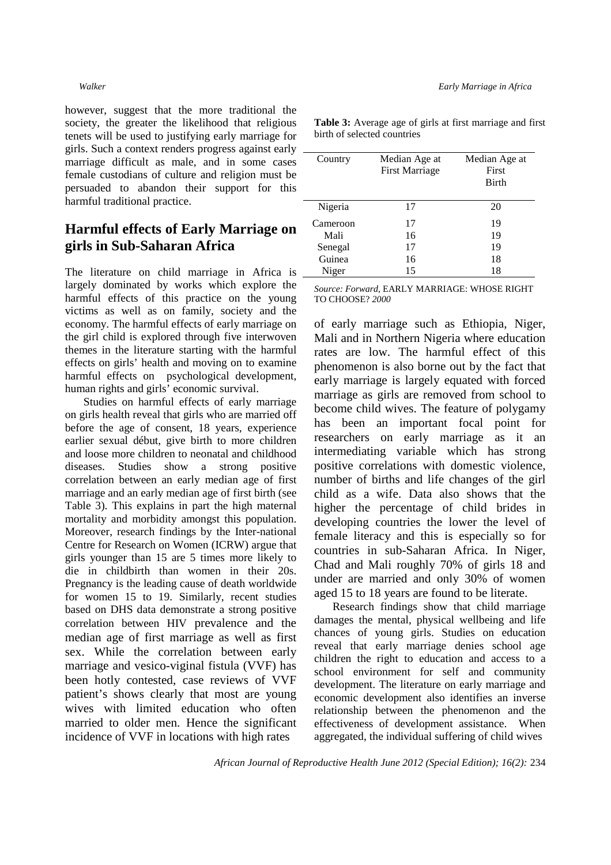however, suggest that the more traditional the society, the greater the likelihood that religious tenets will be used to justifying early marriage for girls. Such a context renders progress against early marriage difficult as male, and in some cases female custodians of culture and religion must be persuaded to abandon their support for this harmful traditional practice.

## **Harmful effects of Early Marriage on girls in Sub-Saharan Africa**

The literature on child marriage in Africa is largely dominated by works which explore the harmful effects of this practice on the young victims as well as on family, society and the economy. The harmful effects of early marriage on the girl child is explored through five interwoven themes in the literature starting with the harmful effects on girls' health and moving on to examine harmful effects on psychological development, human rights and girls' economic survival.

Studies on harmful effects of early marriage on girls health reveal that girls who are married off before the age of consent, 18 years, experience earlier sexual début, give birth to more children and loose more children to neonatal and childhood diseases. Studies show a strong positive correlation between an early median age of first marriage and an early median age of first birth (see Table 3). This explains in part the high maternal mortality and morbidity amongst this population. Moreover, research findings by the Inter-national Centre for Research on Women (ICRW) argue that girls younger than 15 are 5 times more likely to die in childbirth than women in their 20s. Pregnancy is the leading cause of death worldwide for women 15 to 19. Similarly, recent studies based on DHS data demonstrate a strong positive correlation between HIV prevalence and the median age of first marriage as well as first sex. While the correlation between early marriage and vesico-viginal fistula (VVF) has been hotly contested, case reviews of VVF patient's shows clearly that most are young wives with limited education who often married to older men. Hence the significant incidence of VVF in locations with high rates

| Country  | Median Age at<br><b>First Marriage</b> | Median Age at<br>First<br><b>Birth</b> |
|----------|----------------------------------------|----------------------------------------|
| Nigeria  | 17                                     | 20                                     |
| Cameroon | 17                                     | 19                                     |
| Mali     | 16                                     | 19                                     |
| Senegal  | 17                                     | 19                                     |
| Guinea   | 16                                     | 18                                     |
| Niger    | 15                                     | 18                                     |

**Table 3:** Average age of girls at first marriage and first birth of selected countries

*Source: Forward,* EARLY MARRIAGE: WHOSE RIGHT TO CHOOSE? *2000*

of early marriage such as Ethiopia, Niger, Mali and in Northern Nigeria where education rates are low. The harmful effect of this phenomenon is also borne out by the fact that early marriage is largely equated with forced marriage as girls are removed from school to become child wives. The feature of polygamy has been an important focal point for researchers on early marriage as it an intermediating variable which has strong positive correlations with domestic violence, number of births and life changes of the girl child as a wife. Data also shows that the higher the percentage of child brides in developing countries the lower the level of female literacy and this is especially so for countries in sub-Saharan Africa. In Niger, Chad and Mali roughly 70% of girls 18 and under are married and only 30% of women aged 15 to 18 years are found to be literate.

Research findings show that child marriage damages the mental, physical wellbeing and life chances of young girls. Studies on education reveal that early marriage denies school age children the right to education and access to a school environment for self and community development. The literature on early marriage and economic development also identifies an inverse relationship between the phenomenon and the effectiveness of development assistance. When aggregated, the individual suffering of child wives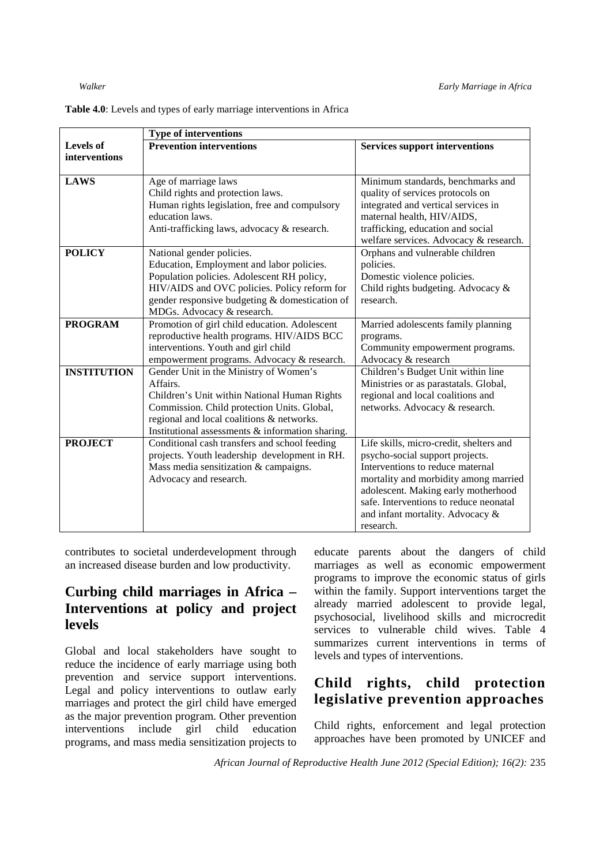|                    | <b>Type of interventions</b>                     |                                         |  |
|--------------------|--------------------------------------------------|-----------------------------------------|--|
| <b>Levels of</b>   | <b>Prevention interventions</b>                  | <b>Services support interventions</b>   |  |
| interventions      |                                                  |                                         |  |
|                    |                                                  |                                         |  |
| <b>LAWS</b>        | Age of marriage laws                             | Minimum standards, benchmarks and       |  |
|                    | Child rights and protection laws.                | quality of services protocols on        |  |
|                    | Human rights legislation, free and compulsory    | integrated and vertical services in     |  |
|                    | education laws.                                  | maternal health, HIV/AIDS,              |  |
|                    | Anti-trafficking laws, advocacy & research.      | trafficking, education and social       |  |
|                    |                                                  | welfare services. Advocacy & research.  |  |
| <b>POLICY</b>      | National gender policies.                        | Orphans and vulnerable children         |  |
|                    | Education, Employment and labor policies.        | policies.                               |  |
|                    | Population policies. Adolescent RH policy,       | Domestic violence policies.             |  |
|                    | HIV/AIDS and OVC policies. Policy reform for     | Child rights budgeting. Advocacy &      |  |
|                    | gender responsive budgeting & domestication of   | research.                               |  |
|                    | MDGs. Advocacy & research.                       |                                         |  |
| <b>PROGRAM</b>     | Promotion of girl child education. Adolescent    | Married adolescents family planning     |  |
|                    | reproductive health programs. HIV/AIDS BCC       | programs.                               |  |
|                    | interventions. Youth and girl child              | Community empowerment programs.         |  |
|                    | empowerment programs. Advocacy & research.       | Advocacy & research                     |  |
| <b>INSTITUTION</b> | Gender Unit in the Ministry of Women's           | Children's Budget Unit within line      |  |
|                    | Affairs.                                         | Ministries or as parastatals. Global,   |  |
|                    | Children's Unit within National Human Rights     | regional and local coalitions and       |  |
|                    | Commission. Child protection Units. Global,      | networks. Advocacy & research.          |  |
|                    | regional and local coalitions & networks.        |                                         |  |
|                    | Institutional assessments & information sharing. |                                         |  |
| <b>PROJECT</b>     | Conditional cash transfers and school feeding    | Life skills, micro-credit, shelters and |  |
|                    | projects. Youth leadership development in RH.    | psycho-social support projects.         |  |
|                    | Mass media sensitization & campaigns.            | Interventions to reduce maternal        |  |
|                    | Advocacy and research.                           | mortality and morbidity among married   |  |
|                    |                                                  | adolescent. Making early motherhood     |  |
|                    |                                                  | safe. Interventions to reduce neonatal  |  |
|                    |                                                  | and infant mortality. Advocacy &        |  |
|                    |                                                  | research.                               |  |

**Table 4.0**: Levels and types of early marriage interventions in Africa

contributes to societal underdevelopment through an increased disease burden and low productivity.

# **Curbing child marriages in Africa – Interventions at policy and project levels**

Global and local stakeholders have sought to reduce the incidence of early marriage using both prevention and service support interventions. Legal and policy interventions to outlaw early marriages and protect the girl child have emerged as the major prevention program. Other prevention interventions include girl child education programs, and mass media sensitization projects to educate parents about the dangers of child marriages as well as economic empowerment programs to improve the economic status of girls within the family. Support interventions target the already married adolescent to provide legal, psychosocial, livelihood skills and microcredit services to vulnerable child wives. Table 4 summarizes current interventions in terms of levels and types of interventions.

# **Child rights, child protection legislative prevention approaches**

Child rights, enforcement and legal protection approaches have been promoted by UNICEF and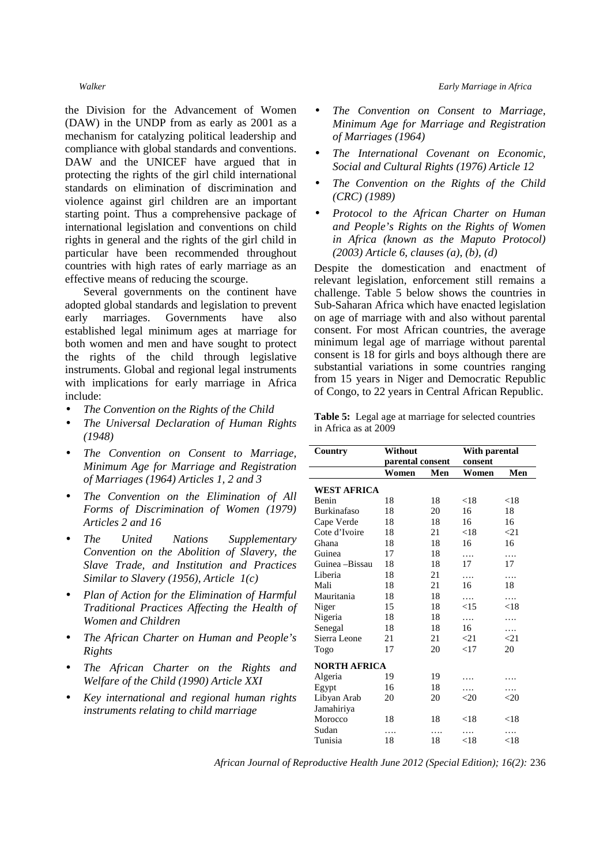#### *Walker Early Marriage in Africa*

the Division for the Advancement of Women (DAW) in the UNDP from as early as 2001 as a mechanism for catalyzing political leadership and compliance with global standards and conventions. DAW and the UNICEF have argued that in protecting the rights of the girl child international standards on elimination of discrimination and violence against girl children are an important starting point. Thus a comprehensive package of international legislation and conventions on child rights in general and the rights of the girl child in particular have been recommended throughout countries with high rates of early marriage as an effective means of reducing the scourge.

Several governments on the continent have adopted global standards and legislation to prevent early marriages. Governments have also established legal minimum ages at marriage for both women and men and have sought to protect the rights of the child through legislative instruments. Global and regional legal instruments with implications for early marriage in Africa include:

- *The Convention on the Rights of the Child*
- *The Universal Declaration of Human Rights (1948)*
- *The Convention on Consent to Marriage, Minimum Age for Marriage and Registration of Marriages (1964) Articles 1, 2 and 3*
- *The Convention on the Elimination of All Forms of Discrimination of Women (1979) Articles 2 and 16*
- *The United Nations Supplementary Convention on the Abolition of Slavery, the Slave Trade, and Institution and Practices Similar to Slavery (1956), Article 1(c)*
- *Plan of Action for the Elimination of Harmful Traditional Practices Affecting the Health of Women and Children*
- *The African Charter on Human and People's Rights*
- *The African Charter on the Rights and Welfare of the Child (1990) Article XXI*
- *Key international and regional human rights instruments relating to child marriage*
- *The Convention on Consent to Marriage, Minimum Age for Marriage and Registration of Marriages (1964)*
- *The International Covenant on Economic, Social and Cultural Rights (1976) Article 12*
- *The Convention on the Rights of the Child (CRC) (1989)*
- *Protocol to the African Charter on Human and People's Rights on the Rights of Women in Africa (known as the Maputo Protocol) (2003) Article 6, clauses (a), (b), (d)*

Despite the domestication and enactment of relevant legislation, enforcement still remains a challenge. Table 5 below shows the countries in Sub-Saharan Africa which have enacted legislation on age of marriage with and also without parental consent. For most African countries, the average minimum legal age of marriage without parental consent is 18 for girls and boys although there are substantial variations in some countries ranging from 15 years in Niger and Democratic Republic of Congo, to 22 years in Central African Republic.

**Table 5:** Legal age at marriage for selected countries in Africa as at 2009

| Country             | Without          |     | With parental |           |  |
|---------------------|------------------|-----|---------------|-----------|--|
|                     | parental consent |     | consent       |           |  |
|                     | Women            | Men | Women         | Men       |  |
| <b>WEST AFRICA</b>  |                  |     |               |           |  |
| Benin               | 18               | 18  | ${<}18$       | < 18      |  |
| <b>Burkinafaso</b>  | 18               | 20  | 16            | 18        |  |
| Cape Verde          | 18               | 18  | 16            | 16        |  |
| Cote d'Ivoire       | 18               | 21  | < 18          | $\leq$ 21 |  |
| Ghana               | 18               | 18  | 16            | 16        |  |
| Guinea              | 17               | 18  | .             | .         |  |
| Guinea –Bissau      | 18               | 18  | 17            | 17        |  |
| Liberia             | 18               | 21  | .             | .         |  |
| Mali                | 18               | 21  | 16            | 18        |  |
| Mauritania          | 18               | 18  | .             | .         |  |
| Niger               | 15               | 18  | <15           | < 18      |  |
| Nigeria             | 18               | 18  | .             | .         |  |
| Senegal             | 18               | 18  | 16            | .         |  |
| Sierra Leone        | 21               | 21  | $<$ 21        | $\leq$ 21 |  |
| Togo                | 17               | 20  | $<$ 17        | 20        |  |
| <b>NORTH AFRICA</b> |                  |     |               |           |  |
| Algeria             | 19               | 19  |               |           |  |
| Egypt               | 16               | 18  | .             | .         |  |
| Libyan Arab         | 20               | 20  | ${<}20$       | ${<}20$   |  |
| Jamahiriya          |                  |     |               |           |  |
| Morocco             | 18               | 18  | $<$ 18        | < 18      |  |
| Sudan               | .                | .   | .             | .         |  |
| Tunisia             | 18               | 18  | < 18          | < 18      |  |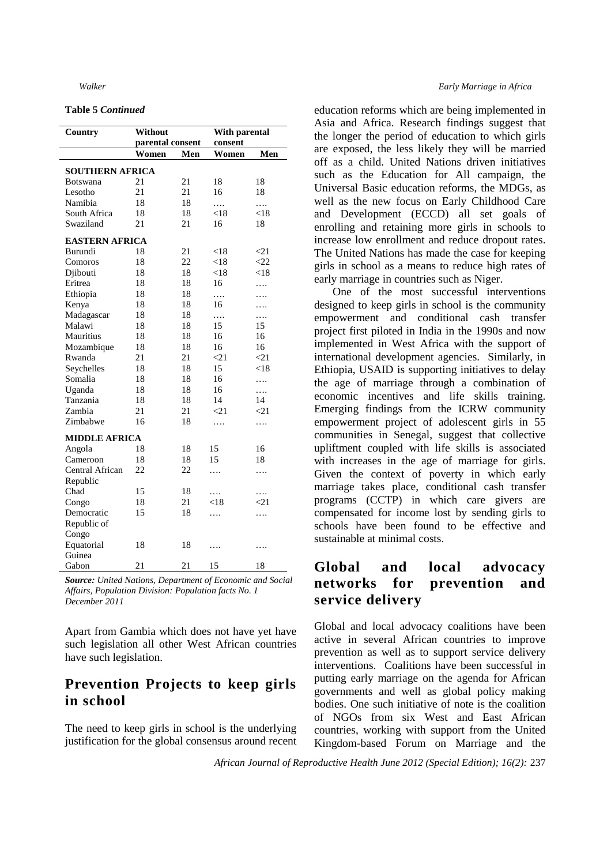### **Table 5** *Continued*

| Country                | Without          |     | With parental |              |  |
|------------------------|------------------|-----|---------------|--------------|--|
|                        | parental consent |     | consent       |              |  |
|                        | Women            | Men | Women         | Men          |  |
|                        |                  |     |               |              |  |
| <b>SOUTHERN AFRICA</b> |                  |     |               |              |  |
| Botswana               | 21               | 21  | 18            | 18           |  |
| Lesotho                | 21               | 21  | 16            | 18           |  |
| Namibia                | 18               | 18  | .             | .            |  |
| South Africa           | 18               | 18  | ${<}18$       | < 18         |  |
| Swaziland              | 21               | 21  | 16            | 18           |  |
| <b>EASTERN AFRICA</b>  |                  |     |               |              |  |
| Burundi                | 18               | 21  | $<$ 18        | <21          |  |
| Comoros                | 18               | 22  | < 18          | $\langle 22$ |  |
| Djibouti               | 18               | 18  | < 18          | < 18         |  |
| Eritrea                | 18               | 18  | 16            | .            |  |
| Ethiopia               | 18               | 18  | .             | .            |  |
| Kenya                  | 18               | 18  | 16            | .            |  |
| Madagascar             | 18               | 18  | .             | .            |  |
| Malawi                 | 18               | 18  | 15            | 15           |  |
| Mauritius              | 18               | 18  | 16            | 16           |  |
| Mozambique             | 18               | 18  | 16            | 16           |  |
| Rwanda                 | 21               | 21  | $\leq$ 21     | $\leq$ 21    |  |
| Seychelles             | 18               | 18  | 15            | < 18         |  |
| Somalia                | 18               | 18  | 16            | .            |  |
| Uganda                 | 18               | 18  | 16            | .            |  |
| Tanzania               | 18               | 18  | 14            | 14           |  |
| Zambia                 | 21               | 21  | $\leq$ 21     | $<$ 21       |  |
| Zimbabwe               | 16               | 18  | .             | .            |  |
| <b>MIDDLE AFRICA</b>   |                  |     |               |              |  |
| Angola                 | 18               | 18  | 15            | 16           |  |
| Cameroon               | 18               | 18  | 15            | 18           |  |
| Central African        | 22               | 22  | .             | .            |  |
| Republic               |                  |     |               |              |  |
| Chad                   | 15               | 18  | .             | .            |  |
| Congo                  | 18               | 21  | $< \!\! 18$   | $\leq$ 21    |  |
| Democratic             | 15               | 18  | .             | .            |  |
| Republic of            |                  |     |               |              |  |
| Congo                  |                  |     |               |              |  |
| Equatorial             | 18               | 18  | .             | .            |  |
| Guinea                 |                  |     |               |              |  |
| Gabon                  | 21               | 21  | 15            | 18           |  |

*Source: United Nations, Department of Economic and Social Affairs, Population Division: Population facts No. 1 December 2011* 

Apart from Gambia which does not have yet have such legislation all other West African countries have such legislation.

## **Prevention Projects to keep girls in school**

The need to keep girls in school is the underlying justification for the global consensus around recent

#### *Walker Early Marriage in Africa*

education reforms which are being implemented in Asia and Africa. Research findings suggest that the longer the period of education to which girls are exposed, the less likely they will be married off as a child. United Nations driven initiatives such as the Education for All campaign, the Universal Basic education reforms, the MDGs, as well as the new focus on Early Childhood Care and Development (ECCD) all set goals of enrolling and retaining more girls in schools to increase low enrollment and reduce dropout rates. The United Nations has made the case for keeping girls in school as a means to reduce high rates of early marriage in countries such as Niger.

One of the most successful interventions designed to keep girls in school is the community empowerment and conditional cash transfer project first piloted in India in the 1990s and now implemented in West Africa with the support of international development agencies. Similarly, in Ethiopia, USAID is supporting initiatives to delay the age of marriage through a combination of economic incentives and life skills training. Emerging findings from the ICRW community empowerment project of adolescent girls in 55 communities in Senegal, suggest that collective upliftment coupled with life skills is associated with increases in the age of marriage for girls. Given the context of poverty in which early marriage takes place, conditional cash transfer programs (CCTP) in which care givers are compensated for income lost by sending girls to schools have been found to be effective and sustainable at minimal costs.

## **Global and local advocacy networks for prevention and service delivery**

Global and local advocacy coalitions have been active in several African countries to improve prevention as well as to support service delivery interventions. Coalitions have been successful in putting early marriage on the agenda for African governments and well as global policy making bodies. One such initiative of note is the coalition of NGOs from six West and East African countries, working with support from the United Kingdom-based Forum on Marriage and the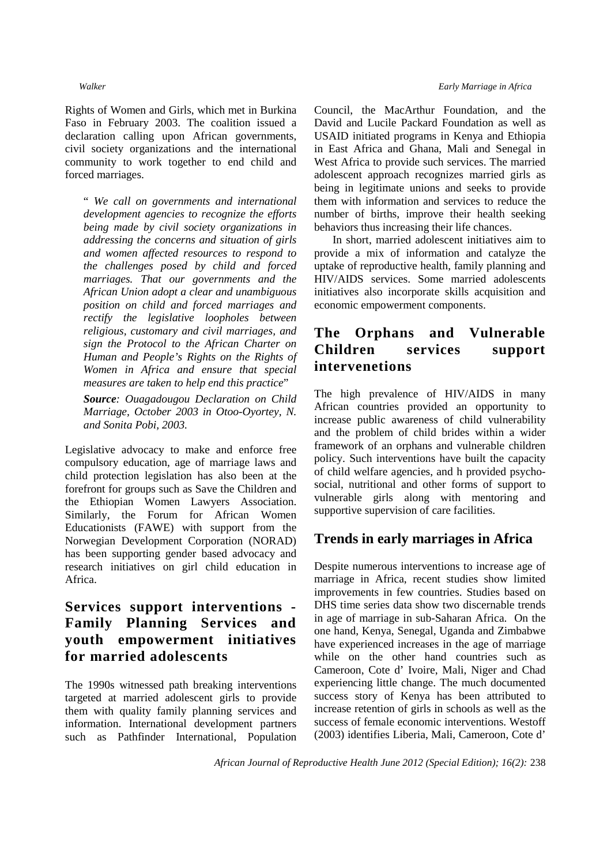Rights of Women and Girls, which met in Burkina Faso in February 2003. The coalition issued a declaration calling upon African governments, civil society organizations and the international community to work together to end child and forced marriages.

" *We call on governments and international development agencies to recognize the efforts being made by civil society organizations in addressing the concerns and situation of girls and women affected resources to respond to the challenges posed by child and forced marriages. That our governments and the African Union adopt a clear and unambiguous position on child and forced marriages and rectify the legislative loopholes between religious, customary and civil marriages, and sign the Protocol to the African Charter on Human and People's Rights on the Rights of Women in Africa and ensure that special measures are taken to help end this practice*"

*Source: Ouagadougou Declaration on Child Marriage, October 2003 in Otoo-Oyortey, N. and Sonita Pobi, 2003.* 

Legislative advocacy to make and enforce free compulsory education, age of marriage laws and child protection legislation has also been at the forefront for groups such as Save the Children and the Ethiopian Women Lawyers Association. Similarly, the Forum for African Women Educationists (FAWE) with support from the Norwegian Development Corporation (NORAD) has been supporting gender based advocacy and research initiatives on girl child education in Africa.

# **Services support interventions - Family Planning Services and youth empowerment initiatives for married adolescents**

The 1990s witnessed path breaking interventions targeted at married adolescent girls to provide them with quality family planning services and information. International development partners such as Pathfinder International, Population

### *Walker Early Marriage in Africa*

Council, the MacArthur Foundation, and the David and Lucile Packard Foundation as well as USAID initiated programs in Kenya and Ethiopia in East Africa and Ghana, Mali and Senegal in West Africa to provide such services. The married adolescent approach recognizes married girls as being in legitimate unions and seeks to provide them with information and services to reduce the number of births, improve their health seeking behaviors thus increasing their life chances.

In short, married adolescent initiatives aim to provide a mix of information and catalyze the uptake of reproductive health, family planning and HIV/AIDS services. Some married adolescents initiatives also incorporate skills acquisition and economic empowerment components.

# **The Orphans and Vulnerable Children services support intervenetions**

The high prevalence of HIV/AIDS in many African countries provided an opportunity to increase public awareness of child vulnerability and the problem of child brides within a wider framework of an orphans and vulnerable children policy. Such interventions have built the capacity of child welfare agencies, and h provided psychosocial, nutritional and other forms of support to vulnerable girls along with mentoring and supportive supervision of care facilities.

## **Trends in early marriages in Africa**

Despite numerous interventions to increase age of marriage in Africa, recent studies show limited improvements in few countries. Studies based on DHS time series data show two discernable trends in age of marriage in sub-Saharan Africa. On the one hand, Kenya, Senegal, Uganda and Zimbabwe have experienced increases in the age of marriage while on the other hand countries such as Cameroon, Cote d' Ivoire, Mali, Niger and Chad experiencing little change. The much documented success story of Kenya has been attributed to increase retention of girls in schools as well as the success of female economic interventions. Westoff (2003) identifies Liberia, Mali, Cameroon, Cote d'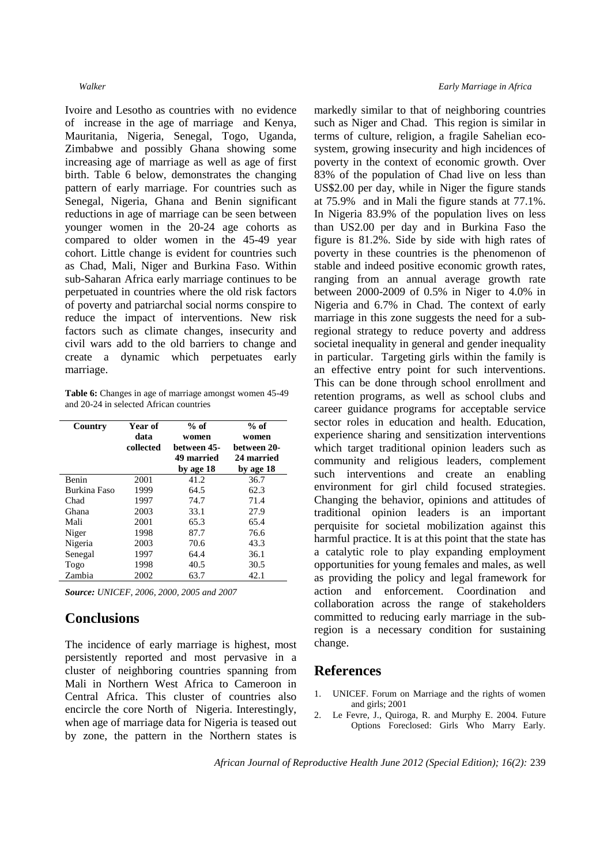Ivoire and Lesotho as countries with no evidence of increase in the age of marriage and Kenya, Mauritania, Nigeria, Senegal, Togo, Uganda, Zimbabwe and possibly Ghana showing some increasing age of marriage as well as age of first birth. Table 6 below, demonstrates the changing pattern of early marriage. For countries such as Senegal, Nigeria, Ghana and Benin significant reductions in age of marriage can be seen between younger women in the 20-24 age cohorts as compared to older women in the 45-49 year cohort. Little change is evident for countries such as Chad, Mali, Niger and Burkina Faso. Within sub-Saharan Africa early marriage continues to be perpetuated in countries where the old risk factors of poverty and patriarchal social norms conspire to reduce the impact of interventions. New risk factors such as climate changes, insecurity and civil wars add to the old barriers to change and create a dynamic which perpetuates early marriage.

**Table 6:** Changes in age of marriage amongst women 45-49 and 20-24 in selected African countries

| Country      | Year of<br>data<br>collected | $%$ of<br>women<br>between 45-<br><b>49 married</b><br>by age 18 | $%$ of<br>women<br>between 20-<br>24 married<br>by age 18 |
|--------------|------------------------------|------------------------------------------------------------------|-----------------------------------------------------------|
| Benin        | 2001                         | 41.2                                                             | 36.7                                                      |
| Burkina Faso | 1999                         | 64.5                                                             | 62.3                                                      |
| Chad         | 1997                         | 74.7                                                             | 71.4                                                      |
| Ghana        | 2003                         | 33.1                                                             | 27.9                                                      |
| Mali         | 2001                         | 65.3                                                             | 65.4                                                      |
| Niger        | 1998                         | 87.7                                                             | 76.6                                                      |
| Nigeria      | 2003                         | 70.6                                                             | 43.3                                                      |
| Senegal      | 1997                         | 64.4                                                             | 36.1                                                      |
| Togo         | 1998                         | 40.5                                                             | 30.5                                                      |
| Zambia       | 2002                         | 63.7                                                             | 42.1                                                      |

*Source: UNICEF, 2006, 2000, 2005 and 2007*

## **Conclusions**

The incidence of early marriage is highest, most persistently reported and most pervasive in a cluster of neighboring countries spanning from Mali in Northern West Africa to Cameroon in Central Africa. This cluster of countries also encircle the core North of Nigeria. Interestingly, when age of marriage data for Nigeria is teased out by zone, the pattern in the Northern states is

#### *Walker Early Marriage in Africa*

markedly similar to that of neighboring countries such as Niger and Chad. This region is similar in terms of culture, religion, a fragile Sahelian ecosystem, growing insecurity and high incidences of poverty in the context of economic growth. Over 83% of the population of Chad live on less than US\$2.00 per day, while in Niger the figure stands at 75.9% and in Mali the figure stands at 77.1%. In Nigeria 83.9% of the population lives on less than US2.00 per day and in Burkina Faso the figure is 81.2%. Side by side with high rates of poverty in these countries is the phenomenon of stable and indeed positive economic growth rates, ranging from an annual average growth rate between 2000-2009 of 0.5% in Niger to 4.0% in Nigeria and 6.7% in Chad. The context of early marriage in this zone suggests the need for a subregional strategy to reduce poverty and address societal inequality in general and gender inequality in particular. Targeting girls within the family is an effective entry point for such interventions. This can be done through school enrollment and retention programs, as well as school clubs and career guidance programs for acceptable service sector roles in education and health. Education, experience sharing and sensitization interventions which target traditional opinion leaders such as community and religious leaders, complement such interventions and create an enabling environment for girl child focused strategies. Changing the behavior, opinions and attitudes of traditional opinion leaders is an important perquisite for societal mobilization against this harmful practice. It is at this point that the state has a catalytic role to play expanding employment opportunities for young females and males, as well as providing the policy and legal framework for action and enforcement. Coordination and collaboration across the range of stakeholders committed to reducing early marriage in the subregion is a necessary condition for sustaining change.

## **References**

- 1. UNICEF. Forum on Marriage and the rights of women and girls; 2001
- 2. Le Fevre, J., Quiroga, R. and Murphy E. 2004. Future Options Foreclosed: Girls Who Marry Early.